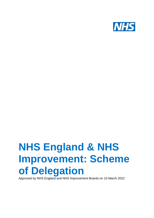

# **NHS England & NHS Improvement: Scheme of Delegation**

Approved by NHS England and NHS Improvement Boards on 10 March 2022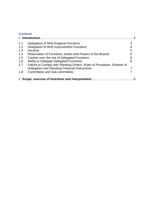# **Contents**

| 1 Introduction |                                                                       |   |  |
|----------------|-----------------------------------------------------------------------|---|--|
| 1.1            | Delegation of NHS England Functions                                   |   |  |
| 1.2            | Delegation of NHS Improvement Functions                               |   |  |
| 1.3            | General                                                               | 5 |  |
| 1.4            | Reservation of Functions, Duties and Powers to the Boards             | 6 |  |
| 1.5            | Caution over the use of Delegated Functions                           | 6 |  |
| 1.6            | Ability to Delegate Delegated Functions                               | 6 |  |
| 1.7            | Failure to Comply with Standing Orders, Rules of Procedure, Scheme of |   |  |
|                | Delegation and Standing Financial Instructions                        |   |  |
| 1.8            | <b>Committees and Sub-committees</b>                                  |   |  |
|                | 2 Scope, exercise of functions and interpretation.                    |   |  |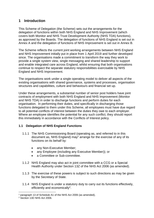# <span id="page-2-0"></span>**1 Introduction**

This Scheme of Delegation (the Scheme) sets out the arrangements for the delegation of functions within both NHS England and NHS Improvement (which covers both Monitor and NHS Trust Development Authority (NHS TDA) functions), as approved by the Boards. The delegation of functions of NHS England is set out in Annex A and the delegation of functions of NHS Improvement is set out in Annex B.

The Scheme reflects the current joint working arrangements between NHS England and NHS Improvement initially put in place from 1 April 2019 and further developed since. The organisations made a commitment to transform the way they work to provide a single system view, single messaging and shared leadership to support and enable integrated care across England, whilst ensuring that both organisations continue to respect the separate statutory responsibilities exercisable by NHS England and NHS Improvement.

The organisations work under a single operating model to deliver all aspects of the existing organisations with shared governance, systems and processes, organisation structures and capabilities, culture and behaviours and financial set up.

Under these arrangements, a substantial number of senior post holders have joint contracts of employment with both NHS England and NHS Improvement (Monitor and NHS TDA) in order to discharge functions and perform duties for each organisation. In performing their duties, and specifically in discharging those functions delegated to them under this Scheme, all employees must have due regard to all potential conflicts of interest between the duties they owe to each employer. Where an employee identifies the potential for any such conflict, they should report this immediately in accordance with the Conflicts of Interest policy.

## <span id="page-2-1"></span>**1.1 Delegation of NHS England Functions**

- 1.1.1 The NHS Commissioning Board (operating as, and referred to in this document as, NHS England) may<sup>1</sup> arrange for the exercise of any of its functions on its behalf by:
	- any Non-Executive Member;
	- any Employee (including any Executive Member)); or
	- a Committee or Sub-committee.
- 1.1.2 NHS England may also act in joint committee with a CCG or a Special Health Authority under Section 13Z of the NHS Act 2006 (as amended).
- 1.1.3 The exercise of these powers is subject to such directions as may be given by the Secretary of State.
- 1.1.4 NHS England is under a statutory duty to carry out its functions effectively, efficiently and economically<sup>2</sup>.

<sup>1</sup> paragraph 13 of Schedule A1 of the NHS Act 2006 (as amended),

<sup>2</sup> Section 13D NHS Act 2006.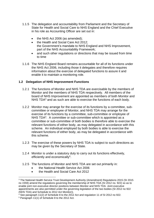- 1.1.5 The delegation and accountability from Parliament and the Secretary of State for Health and Social Care to NHS England and the Chief Executive in his role as Accounting Officer are set out in:
	- the NHS Act 2006 (as amended);
	- the Health and Social Care Act 2012: the Government's mandate to NHS England and NHS Improvement, part of the NHS Accountability Framework;
	- and such other regulations or directions that may be issued from time to time
- 1.1.6 The NHS England Board remains accountable for all of its functions under the NHS Act 2006, including those it delegates and therefore requires information about the exercise of delegated functions to assure it and enable it to maintain a monitoring role.

## <span id="page-3-0"></span>**1.2 Delegation of NHS Improvement Functions**

- 1.2.1 The functions of Monitor and NHS TDA are exercisable by the members of Monitor and the members of NHS TDA respectively. All members of the board of NHS Improvement are appointed as members of both Monitor and NHS TDA<sup>3</sup> and as such are able to exercise the functions of each body.
- 1.2.2 Monitor may arrange for the exercise of its functions by a committee, subcommittee or employee of Monitor, and NHS TDA may arrange for the exercise of its functions by a committee, sub-committee or employee of NHS TDA<sup>4</sup>. A committee or sub-committee which is appointed as a committee or sub-committee of both bodies is therefore able to exercise the relevant functions of either body, as may delegated in accordance with this scheme. An individual employed by both bodies is able to exercise the relevant functions of either body, as may be delegated in accordance with this scheme.
- 1.2.3 The exercise of these powers by NHS TDA is subject to such directions as may be given by the Secretary of State.
- 1.2.4 Monitor is under a statutory duty to carry out its functions effectively, efficiently and economically<sup>5</sup>.
- 1.2.5 The functions of Monitor and NHS TDA are set out primarily in:
	- the National Health Service Act 2006
	- the Health and Social Care Act 2012

<sup>3</sup> The National Health Service Trust Development Authority (Amendment) Regulations 2015 (SI 2015 no 1559) amend the regulations governing the membership of NHS TDA (SI 2012 no. 922) so as to enable joint non-executive director positions between Monitor and NHS TDA. Joint executive appointments are also permitted under the governing legislation of the two bodies (SI 2012 no 922 (NHS TDA) and Schedule to 2012 Act Monitor)).

<sup>4</sup> See paragraph 11(2) of Schedule 8 to the 2012 Act and regulation 11 of SI 2012 no 922.

<sup>5</sup> Paragraph 11(1) of Schedule 8 to the 2012 Act.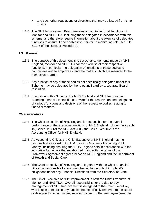- and such other regulations or directions that may be issued from time to time.
- 1.2.6 The NHS Improvement Board remains accountable for all functions of Monitor and NHS TDA, including those delegated in accordance with this scheme, and therefore require information about the exercise of delegated functions to assure it and enable it to maintain a monitoring role (see rule 5.11.5 of the Rules of Procedure).

#### <span id="page-4-0"></span>**1.3 General**

- 1.3.1 The purpose of this document is to set out arrangements made by NHS England, Monitor and NHS TDA for the exercise of their respective functions, in particular the delegation of functions of those bodies to committees and to employees, and the matters which are reserved to the respective Boards.
- 1.3.2 Any function of any of those bodies not specifically delegated under this Scheme may be delegated by the relevant Board by a separate Board resolution.
- 1.3.3 In addition to this Scheme, the NHS England and NHS Improvement Standing Financial Instructions provide for the reservation and delegation of various functions and decisions of the respective bodies relating to financial matters.

#### *Chief executives*

- 1.3.4 The Chief Executive of NHS England is responsible for the overall performance of the executive functions of NHS England. Under paragraph 15, Schedule A1of the NHS Act 2006, the Chief Executive is the Accounting Officer for NHS England.
- 1.3.5 As Accounting Officer, the Chief Executive of NHS England has the responsibilities as set out in HM Treasury Guidance Managing Public Money, including ensuring that NHS England acts in accordance with the legislative framework that established it and with the terms of the Framework Agreement agreed between NHS England and the Department of Health and Social Care.
- 1.3.6 The Chief Executive of NHS England, together with the Chief Financial Officer, is responsible for ensuring the discharge of NHS England's obligations under any Financial Directions from the Secretary of State.
- 1.3.7 The Chief Executive of NHS Improvement is both the Chief Executive of Monitor and NHS TDA. Overall responsibility for the day-to-day management of NHS Improvement is delegated to the Chief Executive, who is able to exercise any function not specifically reserved to the Board or delegated to a committee, sub-committee or other employee (see rule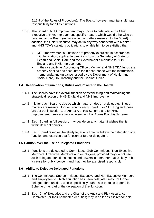5.11.9 of the Rules of Procedure). The Board, however, maintains ultimate responsibility for all its functions.

- 1.3.8 The Board of NHS Improvement may choose to delegate to the Chief Executive of NHS Improvement specific matters which would otherwise be reserved to the Board (as set out in the matters reserved to the Board). In addition, the Chief Executive may act in any way consistent with Monitor and NHS TDA's statutory obligations to enable him to be satisfied that:
	- NHS Improvement's functions are properly exercised in accordance with legislation, applicable directions from the Secretary of State for Health and Social Care and the Government's mandate to NHS England and NHS Improvement;
	- in their capacity as Accounting Officer, Monitor and NHS TDA funds are properly applied and accounted for in accordance with the instructions, memoranda and guidance issued by the Department of Health and Social Care, HM Treasury and the Cabinet Office.

#### <span id="page-5-0"></span>**1.4 Reservation of Functions, Duties and Powers to the Boards**

- 1.4.1 The Boards have the overall function of establishing and maintaining the strategic direction of NHS England and NHS Improvement.
- 1.4.2 It is for each Board to decide which matters it does not delegate. Those matters are reserved for decision by each Board. For NHS England these are set out in section 1 of Annex A of this Scheme and for NHS Improvement these are set out in section 1 of Annex B of this Scheme.
- 1.4.3 Each Board, in full session, may decide on any matter it wishes that is within its legal powers.
- 1.4.4 Each Board reserves the ability to, at any time, withdraw the delegation of a function and exercise that function or further delegate it.

#### <span id="page-5-1"></span>**1.5 Caution over the use of Delegated Functions**

1.5.1 Functions are delegated to Committees, Sub-Committees, Non-Executive Members, Executive Members and employees, provided they do not use such delegated functions, duties and powers in a manner that is likely to be a cause for public concern and that they be exercised responsibly.

#### <span id="page-5-2"></span>**1.6 Ability to Delegate Delegated Functions**

- 1.6.1 The Committees, Sub-committees, Executive and Non-Executive Members and employees to which a function has been delegated may not further delegate that function, unless specifically authorised to do so under this Scheme or as part of the delegation of that function.
- 1.6.2 Each Chief Executive and the Chair of the Audit and Risk Assurance Committee (or their nominated deputies) may in so far as it is reasonable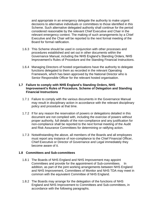and appropriate in an emergency delegate the authority to make urgent decisions to alternative individuals or committees to those identified in this Scheme. Such alternative delegated authority shall continue for the period considered reasonable by the relevant Chief Executive and Chair in the relevant emergency context. The making of such arrangements by a Chief Executive and the Chair will be reported to the next formal meeting of the Board for formal ratification.

- 1.6.3 This Scheme should be used in conjunction with other processes and procedures established and set out in other documents within the Governance Manual, including the NHS England's Standing Orders, NHS Improvement's Rules of Procedure and the Standing Financial Instructions.
- 1.6.4 Managing Directors of hosted organisations have the authority to delegate functions delegated to them as recorded in the relevant Operating Framework, which has been approved by the National Director who is Senior Responsible Officer for the relevant hosted organisation.

#### <span id="page-6-0"></span>**1.7 Failure to comply with NHS England's Standing Orders, NHS Improvement's Rules of Procedure, Scheme of Delegation and Standing Financial Instructions**

- 1.7.1 Failure to comply with the various documents in the Governance Manual may result in disciplinary action in accordance with the relevant disciplinary policy and procedure at that time.
- 1.7.2 If for any reason the reservation of powers or delegations detailed in this document are not complied with, including the exercise of powers without proper authority, full details of the non-compliance and any justification for non-compliance shall be reported to the next formal meeting of the Audit and Risk Assurance Committees for determining or ratifying action.
- 1.7.3 Notwithstanding the above, all members of the Boards and all employees must report any instance of non-compliance to the Chief Financial Officer, Chief Executive or Director of Governance and Legal immediately they become aware of it.

#### <span id="page-6-1"></span>**1.8 Committees and Sub-committees**

- 1.8.1 The Boards of NHS England and NHS Improvement may appoint Committees and provide for the appointment of Sub-committees. In addition, as part of the joint working arrangements between NHS England and NHS Improvement, Committees of Monitor and NHS TDA may meet in common with the equivalent Committee of NHS England.
- 1.8.2 The Boards may arrange for the delegation of the functions of NHS England and NHS Improvement to Committees and Sub-committees, in accordance with the following paragraphs.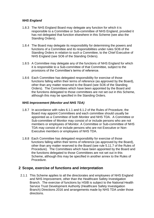## *NHS England*

- 1.8.3 The NHS England Board may delegate any function for which it is responsible to a Committee or Sub-committee of NHS England, provided it has not delegated that function elsewhere in this Scheme (see also the Standing Orders).
- 1.8.4 The Board may delegate its responsibility for determining the powers and functions of a Committee and its responsibilities under rules SO6 of the Standing Orders in relation to such a Committee, to the Chief Executive of NHS England (see SO6 of the Standing Orders).
- 1.8.5 A Committee may delegate any of the functions of NHS England for which it is responsible to a Sub-committee of that Committee, subject to the provisions of the Committee's terms of reference.
- 1.8.6 Each Committee has delegated responsibility for exercise of those functions falling within their terms of reference (as approved by the Board), other than any matter reserved to the Board (see SO6 of the Standing Orders). The Committees which have been appointed by the Board and the functions delegated to those committees are not set out in this Scheme, although this may be specified in the Standing Orders.

#### *NHS Improvement (Monitor and NHS TDA)*

- 1.8.7 In accordance with rules 6.1.1 and 6.1.2 of the Rules of Procedure, the Board may appoint Committees and each committee should usually be appointed as a Committee of both Monitor and NHS TDA. A Committee or Sub-committee of Monitor may consist of or include persons who are not members or employees of Monitor. A Committee or Sub-committee of NHS TDA may consist of or include persons who are not Executive or Non-Executive members or employees of NHS TDA.
- 1.8.8 Each Committee has delegated responsibility for exercise of those functions falling within their terms of reference (as approved by the Board), other than any matter reserved to the Board (see rule 5.11.7 of the Rules of Procedure). The Committees which have been appointed by the Board and the functions delegated to those Committees are not set out in this Scheme, although this may be specified in another annex to the Rules of Procedure.

## <span id="page-7-0"></span>**2 Scope, exercise of functions and interpretation**

2.1.1 This Scheme applies to all the directorates and employees of NHS England and NHS Improvement, other than the Healthcare Safety Investigation Branch. The exercise of functions by HSIB is subject to the National Health Service Trust Development Authority (Healthcare Safety Investigation Branch) Directions 2016 and arrangements made by NHS TDA under those directions.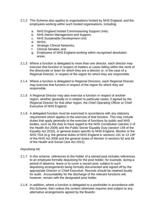- 2.1.2 This Scheme also applies to organisations hosted by NHS England, and the employees working within such hosted organisations, including:
	- a. NHS England hosted Commissioning Support Units;
	- b. NHS Interim Management and Support;
	- c. NHS Sustainable Development Unit;
	- d. NHSX;
	- e. Strategic Clinical Networks;
	- f. Clinical Senates; and
	- g. Employees of NHS England working within recognised devolution areas.
- 2.1.3 Where a function is delegated to more than one director, each director may exercise that function in respect of matters or cases falling within the remit of the directorate or team for which they are a director or, in the case of a Regional Director, in respect of the region for which they are responsible.
- 2.1.4 Where a function is delegated to Regional Directors, each Regional Director may exercise that function in respect of the region for which they are responsible.
- 2.1.5 A Regional Director may also exercise a function in respect of another region, whether generally or in relation to particular cases, if agreed by the Regional Director for that other region, the Chief Operating Officer or Chief Executive of NHS England.
- 2.1.6 A delegated function must be exercised in accordance with any statutory requirement which applies to the exercise of that function. This may include duties that apply generally to the exercise of functions by public and NHS bodies, such as the duty to have regard to the NHS Constitution (section 2 of the Health Act 2009) and the Public Sector Equality Duty (section 149 of the Equality Act 2010), or general duties specific to NHS England, Monitor or the NHS TDA (e.g. the general duties of NHS England in sections 13C to 13 13P of the NHS Act 2006 and the general duties of Monitor in sections 62 and 66 of the Health and Social Care Act 2012).

## *Deputising etc*

- 2.1.7 In this scheme, references to the holder of a named post includes references to an employee formally deputising for the post holder; for example, during a period of absence, leave or to cover a vacant post, subject to such deputising arrangements being formally documented and signed off by the appropriate Director or Chief Executive. Records should be retained locally for audit. Accountability for the discharge of the relevant functions will, however, remain with the designated post holder.
- 2.1.8 In addition, where a function is delegated to a postholder in accordance with this Scheme, then unless the context otherwise requires and subject to any alternative arrangements agreed by the Boards: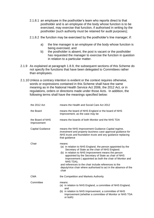- 2.1.8.1 an employee in the postholder's team who reports direct to that postholder and is an employee of the body whose function is to be exercised, may exercise that function, if authorised in writing by the postholder (such authority must be retained for audit purposes);
- 2.1.8.2 the function may be exercised by the postholder's line manager, if:
	- a) the line manager is an employee of the body whose function is being exercised, and
	- b) the postholder is absent, the post is vacant or the postholder has requested the manager to exercise the function in question in relation to a particular matter.
- 2.1.9 As explained at paragraph 1.8.9, the subsequent sections of this Scheme do not specify the functions that have been delegated to Committees rather than employees.
- 2.1.10 Unless a contrary intention is evident or the context requires otherwise, words or expressions contained in this Scheme shall have the same meaning as in the National Health Service Act 2006, the 2012 Act, or in regulations, orders or directions made under those Acts. In addition, the following terms shall have the meanings specified below:

| the 2012 Act                    | means the Health and Social Care Act 2012                                                                                                                                                                                                                                                                                                                                                                                                           |
|---------------------------------|-----------------------------------------------------------------------------------------------------------------------------------------------------------------------------------------------------------------------------------------------------------------------------------------------------------------------------------------------------------------------------------------------------------------------------------------------------|
| the Board                       | means the board of NHS England or the board of NHS<br>Improvement, as the case may be                                                                                                                                                                                                                                                                                                                                                               |
| the Board of NHS<br>Improvement | means the boards of both Monitor and the NHS TDA                                                                                                                                                                                                                                                                                                                                                                                                    |
| <b>Capital Guidance</b>         | means the NHS Improvement Guidance Capital regime,<br>investment and property business case approval guidance for<br>NHS trusts and foundation trusts and any guidance replacing<br>that guidance                                                                                                                                                                                                                                                   |
| Chair                           | means:<br>(a) in relation to NHS England, the person appointed by the<br>Secretary of State as the chair of NHS England;<br>(b) in relation to NHS Improvement means the person<br>appointed by the Secretary of State as chair of NHS<br>Improvement (appointed as both the chair of Monitor and<br>NHS TDA),<br>and references to the chair include references to the<br>deputy/vice chair where authorised to act in the absence of the<br>chair |
| <b>CMA</b>                      | the Competition and Markets Authority                                                                                                                                                                                                                                                                                                                                                                                                               |
| Committee                       | means:<br>(a) in relation to NHS England, a committee of NHS England,<br>and<br>(b) in relation to NHS Improvement, a committee of NHS<br>Improvement (whether a committee of Monitor or NHS TDA<br>or both)                                                                                                                                                                                                                                        |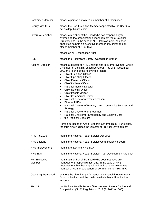| <b>Committee Member</b>    | means a person appointed as member of a Committee                                                                                                                                                                                                                                                                                                                                                                                                                                                                                                                                                                                                                                                                                                                                                                                                                                                                                                                   |
|----------------------------|---------------------------------------------------------------------------------------------------------------------------------------------------------------------------------------------------------------------------------------------------------------------------------------------------------------------------------------------------------------------------------------------------------------------------------------------------------------------------------------------------------------------------------------------------------------------------------------------------------------------------------------------------------------------------------------------------------------------------------------------------------------------------------------------------------------------------------------------------------------------------------------------------------------------------------------------------------------------|
| Deputy/Vice Chair          | means the Non-Executive Member appointed by the Board to<br>act as deputy/vice chair                                                                                                                                                                                                                                                                                                                                                                                                                                                                                                                                                                                                                                                                                                                                                                                                                                                                                |
| <b>Executive Member</b>    | means a member of the Board who has responsibility for<br>overseeing the organisation's management (as a National<br>Director), and, in the case of NHS Improvement, has been<br>appointed as both an executive member of Monitor and an<br>officer member of NHS TDA                                                                                                                                                                                                                                                                                                                                                                                                                                                                                                                                                                                                                                                                                               |
| FТ                         | means an NHS foundation trust                                                                                                                                                                                                                                                                                                                                                                                                                                                                                                                                                                                                                                                                                                                                                                                                                                                                                                                                       |
| <b>HSIB</b>                | means the Healthcare Safety Investigation Branch                                                                                                                                                                                                                                                                                                                                                                                                                                                                                                                                                                                                                                                                                                                                                                                                                                                                                                                    |
| <b>National Director</b>   | means a director of NHS England and NHS Improvement who is<br>a member of the NHS Executive Group - as of 14 December<br>2021 this is one of the following directors:<br><b>Chief Executive Officer</b><br><b>Chief Operating Officer</b><br>$\bullet$<br><b>Chief Financial Officer</b><br>$\bullet$<br><b>Chief Delivery Officer</b><br>$\bullet$<br><b>National Medical Director</b><br><b>Chief Nursing Officer</b><br>$\bullet$<br><b>Chief People Officer</b><br>٠<br><b>Chief Commercial Officer</b><br>National Director of Transformation<br>$\bullet$<br><b>Director NHSX</b><br>$\bullet$<br>National Director of Primary Care, Community Services and<br>٠<br>Strategy<br>National Director of Improvement<br>٠<br>National Director for Emergency and Elective Care<br>$\bullet$<br>the Regional Directors<br>$\bullet$<br>For the purposes of Annex B to this Scheme (NHSI Functions),<br>the term also includes the Director of Provider Development |
| NHS Act 2006               | means the National Health Service Act 2006                                                                                                                                                                                                                                                                                                                                                                                                                                                                                                                                                                                                                                                                                                                                                                                                                                                                                                                          |
| <b>NHS England</b>         | means the National Health Service Commissioning Board                                                                                                                                                                                                                                                                                                                                                                                                                                                                                                                                                                                                                                                                                                                                                                                                                                                                                                               |
| <b>NHS Improvement</b>     | means Monitor and NHS TDA                                                                                                                                                                                                                                                                                                                                                                                                                                                                                                                                                                                                                                                                                                                                                                                                                                                                                                                                           |
| NHS TDA                    | means the National Health Service Trust Development Authority                                                                                                                                                                                                                                                                                                                                                                                                                                                                                                                                                                                                                                                                                                                                                                                                                                                                                                       |
| Non-Executive<br>Member    | means a member of the Board who does not have any<br>management responsibilities, and, in the case of NHS<br>Improvement, has been appointed as both a non-executive<br>member of Monitor and a non-officer member of NHS TDA                                                                                                                                                                                                                                                                                                                                                                                                                                                                                                                                                                                                                                                                                                                                       |
| <b>Operating Framework</b> | sets out the planning, performance and financial requirements<br>for organisations and the basis on which they will be held to<br>account                                                                                                                                                                                                                                                                                                                                                                                                                                                                                                                                                                                                                                                                                                                                                                                                                           |
| <b>PPCCR</b>               | the National Health Service (Procurement, Patient Choice and<br>Competition) (No.2) Regulations 2013 (SI 2012 no 500)                                                                                                                                                                                                                                                                                                                                                                                                                                                                                                                                                                                                                                                                                                                                                                                                                                               |